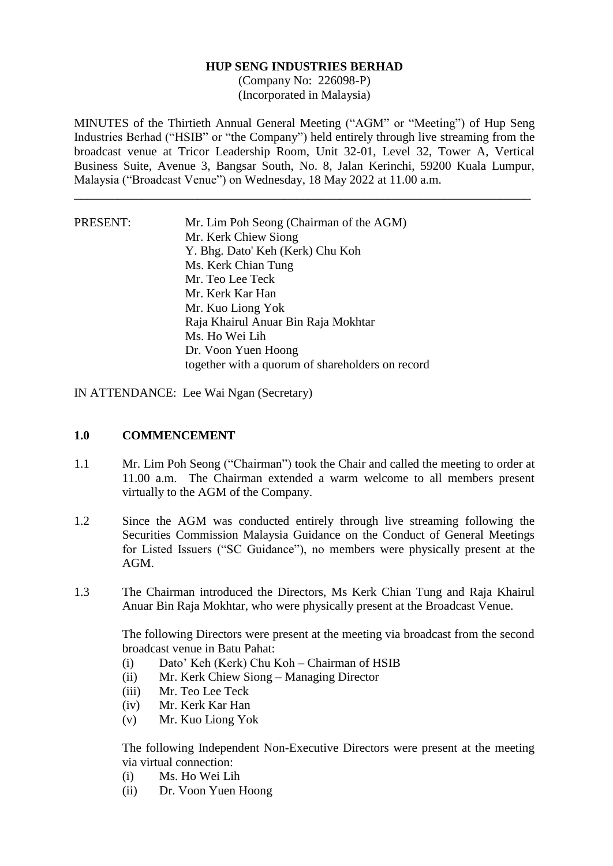#### **HUP SENG INDUSTRIES BERHAD**

(Company No: 226098-P) (Incorporated in Malaysia)

MINUTES of the Thirtieth Annual General Meeting ("AGM" or "Meeting") of Hup Seng Industries Berhad ("HSIB" or "the Company") held entirely through live streaming from the broadcast venue at Tricor Leadership Room, Unit 32-01, Level 32, Tower A, Vertical Business Suite, Avenue 3, Bangsar South, No. 8, Jalan Kerinchi, 59200 Kuala Lumpur, Malaysia ("Broadcast Venue") on Wednesday, 18 May 2022 at 11.00 a.m.

\_\_\_\_\_\_\_\_\_\_\_\_\_\_\_\_\_\_\_\_\_\_\_\_\_\_\_\_\_\_\_\_\_\_\_\_\_\_\_\_\_\_\_\_\_\_\_\_\_\_\_\_\_\_\_\_\_\_\_\_\_\_\_\_\_\_\_\_\_\_\_\_\_\_

PRESENT: Mr. Lim Poh Seong (Chairman of the AGM) Mr. Kerk Chiew Siong Y. Bhg. Dato' Keh (Kerk) Chu Koh Ms. Kerk Chian Tung Mr. Teo Lee Teck Mr. Kerk Kar Han Mr. Kuo Liong Yok Raja Khairul Anuar Bin Raja Mokhtar Ms. Ho Wei Lih Dr. Voon Yuen Hoong together with a quorum of shareholders on record

IN ATTENDANCE: Lee Wai Ngan (Secretary)

## **1.0 COMMENCEMENT**

- 1.1 Mr. Lim Poh Seong ("Chairman") took the Chair and called the meeting to order at 11.00 a.m. The Chairman extended a warm welcome to all members present virtually to the AGM of the Company.
- 1.2 Since the AGM was conducted entirely through live streaming following the Securities Commission Malaysia Guidance on the Conduct of General Meetings for Listed Issuers ("SC Guidance"), no members were physically present at the AGM.
- 1.3 The Chairman introduced the Directors, Ms Kerk Chian Tung and Raja Khairul Anuar Bin Raja Mokhtar, who were physically present at the Broadcast Venue.

The following Directors were present at the meeting via broadcast from the second broadcast venue in Batu Pahat:

- (i) Dato' Keh (Kerk) Chu Koh Chairman of HSIB
- (ii) Mr. Kerk Chiew Siong Managing Director
- (iii) Mr. Teo Lee Teck
- (iv) Mr. Kerk Kar Han
- (v) Mr. Kuo Liong Yok

The following Independent Non-Executive Directors were present at the meeting via virtual connection:

- (i) Ms. Ho Wei Lih
- (ii) Dr. Voon Yuen Hoong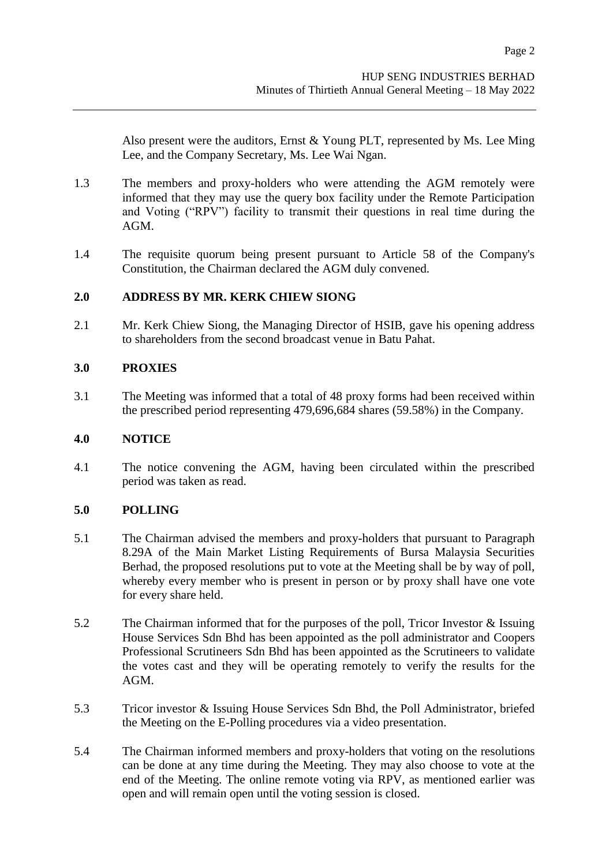Also present were the auditors, Ernst & Young PLT, represented by Ms. Lee Ming Lee, and the Company Secretary, Ms. Lee Wai Ngan.

- 1.3 The members and proxy-holders who were attending the AGM remotely were informed that they may use the query box facility under the Remote Participation and Voting ("RPV") facility to transmit their questions in real time during the AGM.
- 1.4 The requisite quorum being present pursuant to Article 58 of the Company's Constitution, the Chairman declared the AGM duly convened.

## **2.0 ADDRESS BY MR. KERK CHIEW SIONG**

2.1 Mr. Kerk Chiew Siong, the Managing Director of HSIB, gave his opening address to shareholders from the second broadcast venue in Batu Pahat.

#### **3.0 PROXIES**

3.1 The Meeting was informed that a total of 48 proxy forms had been received within the prescribed period representing 479,696,684 shares (59.58%) in the Company.

#### **4.0 NOTICE**

4.1 The notice convening the AGM, having been circulated within the prescribed period was taken as read.

# **5.0 POLLING**

- 5.1 The Chairman advised the members and proxy-holders that pursuant to Paragraph 8.29A of the Main Market Listing Requirements of Bursa Malaysia Securities Berhad, the proposed resolutions put to vote at the Meeting shall be by way of poll, whereby every member who is present in person or by proxy shall have one vote for every share held.
- 5.2 The Chairman informed that for the purposes of the poll, Tricor Investor & Issuing House Services Sdn Bhd has been appointed as the poll administrator and Coopers Professional Scrutineers Sdn Bhd has been appointed as the Scrutineers to validate the votes cast and they will be operating remotely to verify the results for the AGM.
- 5.3 Tricor investor & Issuing House Services Sdn Bhd, the Poll Administrator, briefed the Meeting on the E-Polling procedures via a video presentation.
- 5.4 The Chairman informed members and proxy-holders that voting on the resolutions can be done at any time during the Meeting. They may also choose to vote at the end of the Meeting. The online remote voting via RPV, as mentioned earlier was open and will remain open until the voting session is closed.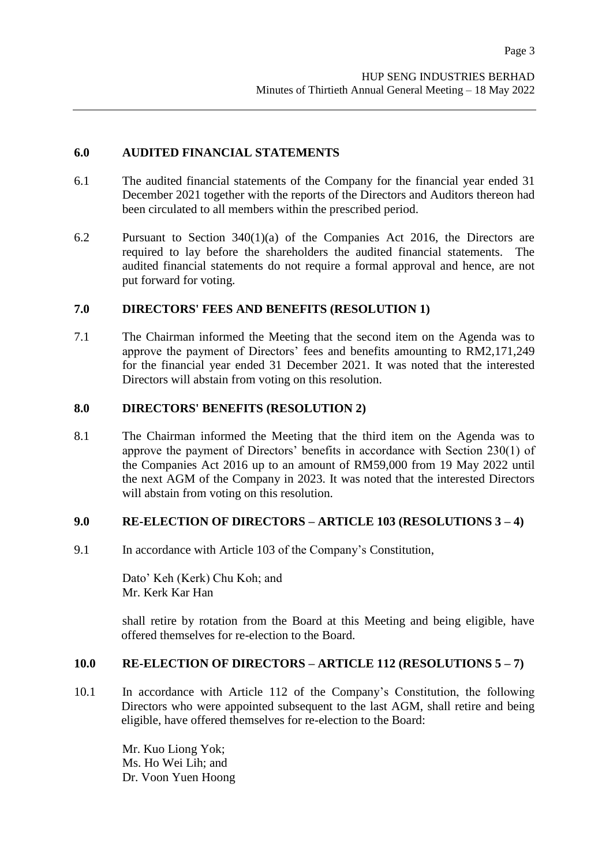## **6.0 AUDITED FINANCIAL STATEMENTS**

- 6.1 The audited financial statements of the Company for the financial year ended 31 December 2021 together with the reports of the Directors and Auditors thereon had been circulated to all members within the prescribed period.
- 6.2 Pursuant to Section 340(1)(a) of the Companies Act 2016, the Directors are required to lay before the shareholders the audited financial statements. The audited financial statements do not require a formal approval and hence, are not put forward for voting.

## **7.0 DIRECTORS' FEES AND BENEFITS (RESOLUTION 1)**

7.1 The Chairman informed the Meeting that the second item on the Agenda was to approve the payment of Directors' fees and benefits amounting to RM2,171,249 for the financial year ended 31 December 2021. It was noted that the interested Directors will abstain from voting on this resolution.

## **8.0 DIRECTORS' BENEFITS (RESOLUTION 2)**

8.1 The Chairman informed the Meeting that the third item on the Agenda was to approve the payment of Directors' benefits in accordance with Section 230(1) of the Companies Act 2016 up to an amount of RM59,000 from 19 May 2022 until the next AGM of the Company in 2023. It was noted that the interested Directors will abstain from voting on this resolution.

#### **9.0 RE-ELECTION OF DIRECTORS – ARTICLE 103 (RESOLUTIONS 3 – 4)**

9.1 In accordance with Article 103 of the Company's Constitution,

Dato' Keh (Kerk) Chu Koh; and Mr. Kerk Kar Han

shall retire by rotation from the Board at this Meeting and being eligible, have offered themselves for re-election to the Board.

### **10.0 RE-ELECTION OF DIRECTORS – ARTICLE 112 (RESOLUTIONS 5 – 7)**

10.1 In accordance with Article 112 of the Company's Constitution, the following Directors who were appointed subsequent to the last AGM, shall retire and being eligible, have offered themselves for re-election to the Board:

> Mr. Kuo Liong Yok; Ms. Ho Wei Lih; and Dr. Voon Yuen Hoong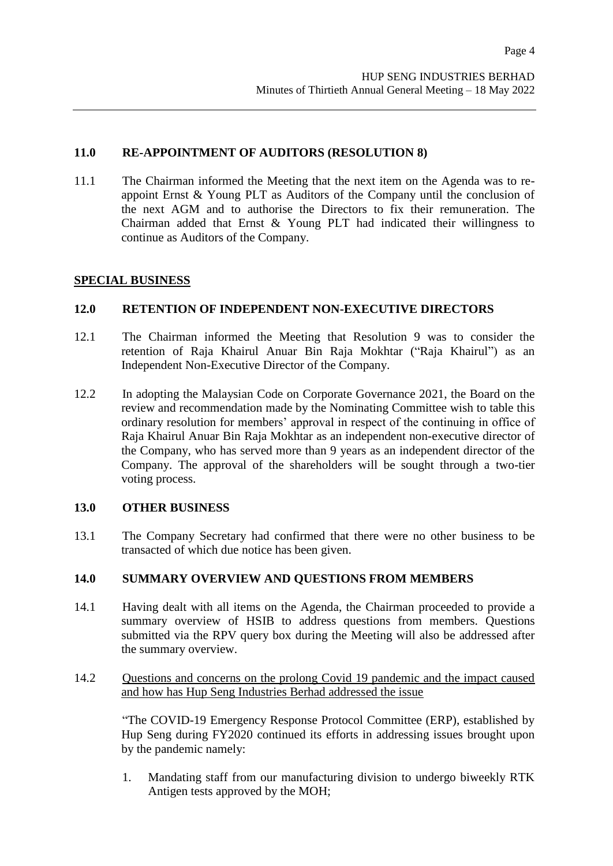## **11.0 RE-APPOINTMENT OF AUDITORS (RESOLUTION 8)**

11.1 The Chairman informed the Meeting that the next item on the Agenda was to reappoint Ernst & Young PLT as Auditors of the Company until the conclusion of the next AGM and to authorise the Directors to fix their remuneration. The Chairman added that Ernst & Young PLT had indicated their willingness to continue as Auditors of the Company.

#### **SPECIAL BUSINESS**

## **12.0 RETENTION OF INDEPENDENT NON-EXECUTIVE DIRECTORS**

- 12.1 The Chairman informed the Meeting that Resolution 9 was to consider the retention of Raja Khairul Anuar Bin Raja Mokhtar ("Raja Khairul") as an Independent Non-Executive Director of the Company.
- 12.2 In adopting the Malaysian Code on Corporate Governance 2021, the Board on the review and recommendation made by the Nominating Committee wish to table this ordinary resolution for members' approval in respect of the continuing in office of Raja Khairul Anuar Bin Raja Mokhtar as an independent non-executive director of the Company, who has served more than 9 years as an independent director of the Company. The approval of the shareholders will be sought through a two-tier voting process.

#### **13.0 OTHER BUSINESS**

13.1 The Company Secretary had confirmed that there were no other business to be transacted of which due notice has been given.

#### **14.0 SUMMARY OVERVIEW AND QUESTIONS FROM MEMBERS**

- 14.1 Having dealt with all items on the Agenda, the Chairman proceeded to provide a summary overview of HSIB to address questions from members. Questions submitted via the RPV query box during the Meeting will also be addressed after the summary overview.
- 14.2 Questions and concerns on the prolong Covid 19 pandemic and the impact caused and how has Hup Seng Industries Berhad addressed the issue

"The COVID-19 Emergency Response Protocol Committee (ERP), established by Hup Seng during FY2020 continued its efforts in addressing issues brought upon by the pandemic namely:

1. Mandating staff from our manufacturing division to undergo biweekly RTK Antigen tests approved by the MOH;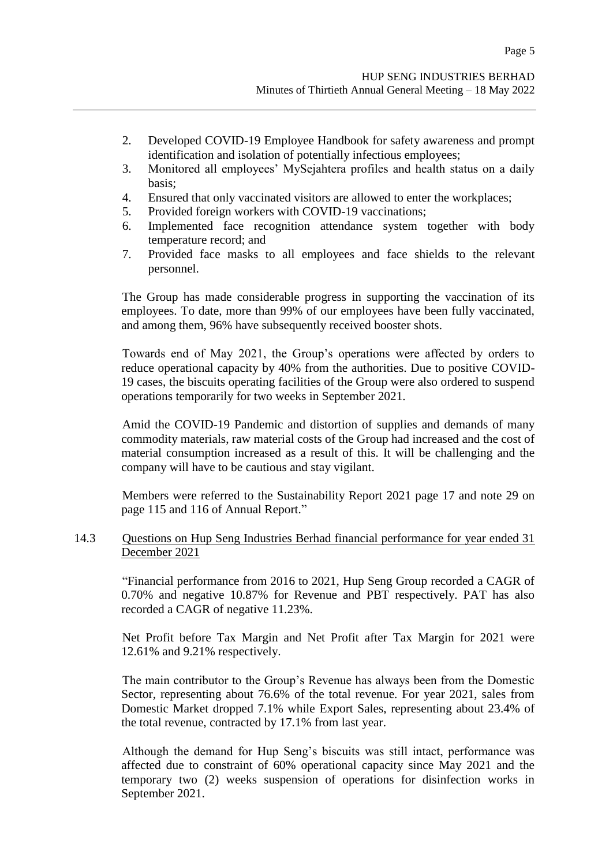- 2. Developed COVID-19 Employee Handbook for safety awareness and prompt identification and isolation of potentially infectious employees;
- 3. Monitored all employees' MySejahtera profiles and health status on a daily basis;
- 4. Ensured that only vaccinated visitors are allowed to enter the workplaces;
- 5. Provided foreign workers with COVID-19 vaccinations;
- 6. Implemented face recognition attendance system together with body temperature record; and
- 7. Provided face masks to all employees and face shields to the relevant personnel.

The Group has made considerable progress in supporting the vaccination of its employees. To date, more than 99% of our employees have been fully vaccinated, and among them, 96% have subsequently received booster shots.

Towards end of May 2021, the Group's operations were affected by orders to reduce operational capacity by 40% from the authorities. Due to positive COVID-19 cases, the biscuits operating facilities of the Group were also ordered to suspend operations temporarily for two weeks in September 2021.

Amid the COVID-19 Pandemic and distortion of supplies and demands of many commodity materials, raw material costs of the Group had increased and the cost of material consumption increased as a result of this. It will be challenging and the company will have to be cautious and stay vigilant.

Members were referred to the Sustainability Report 2021 page 17 and note 29 on page 115 and 116 of Annual Report."

# 14.3 Questions on Hup Seng Industries Berhad financial performance for year ended 31 December 2021

"Financial performance from 2016 to 2021, Hup Seng Group recorded a CAGR of 0.70% and negative 10.87% for Revenue and PBT respectively. PAT has also recorded a CAGR of negative 11.23%.

Net Profit before Tax Margin and Net Profit after Tax Margin for 2021 were 12.61% and 9.21% respectively.

The main contributor to the Group's Revenue has always been from the Domestic Sector, representing about 76.6% of the total revenue. For year 2021, sales from Domestic Market dropped 7.1% while Export Sales, representing about 23.4% of the total revenue, contracted by 17.1% from last year.

Although the demand for Hup Seng's biscuits was still intact, performance was affected due to constraint of 60% operational capacity since May 2021 and the temporary two (2) weeks suspension of operations for disinfection works in September 2021.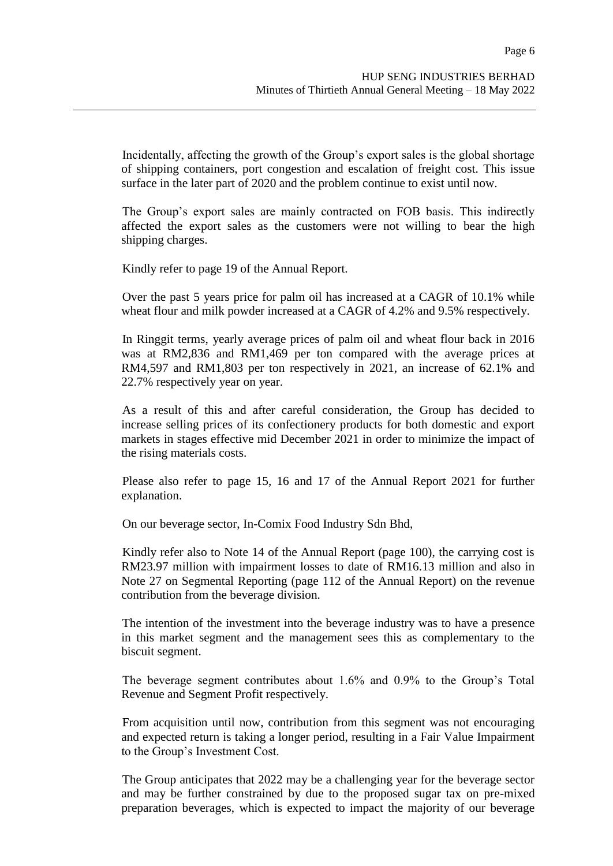Incidentally, affecting the growth of the Group's export sales is the global shortage of shipping containers, port congestion and escalation of freight cost. This issue surface in the later part of 2020 and the problem continue to exist until now.

The Group's export sales are mainly contracted on FOB basis. This indirectly affected the export sales as the customers were not willing to bear the high shipping charges.

Kindly refer to page 19 of the Annual Report.

Over the past 5 years price for palm oil has increased at a CAGR of 10.1% while wheat flour and milk powder increased at a CAGR of 4.2% and 9.5% respectively.

In Ringgit terms, yearly average prices of palm oil and wheat flour back in 2016 was at RM2,836 and RM1,469 per ton compared with the average prices at RM4,597 and RM1,803 per ton respectively in 2021, an increase of 62.1% and 22.7% respectively year on year.

As a result of this and after careful consideration, the Group has decided to increase selling prices of its confectionery products for both domestic and export markets in stages effective mid December 2021 in order to minimize the impact of the rising materials costs.

Please also refer to page 15, 16 and 17 of the Annual Report 2021 for further explanation.

On our beverage sector, In-Comix Food Industry Sdn Bhd,

Kindly refer also to Note 14 of the Annual Report (page 100), the carrying cost is RM23.97 million with impairment losses to date of RM16.13 million and also in Note 27 on Segmental Reporting (page 112 of the Annual Report) on the revenue contribution from the beverage division.

The intention of the investment into the beverage industry was to have a presence in this market segment and the management sees this as complementary to the biscuit segment.

The beverage segment contributes about 1.6% and 0.9% to the Group's Total Revenue and Segment Profit respectively.

From acquisition until now, contribution from this segment was not encouraging and expected return is taking a longer period, resulting in a Fair Value Impairment to the Group's Investment Cost.

The Group anticipates that 2022 may be a challenging year for the beverage sector and may be further constrained by due to the proposed sugar tax on pre-mixed preparation beverages, which is expected to impact the majority of our beverage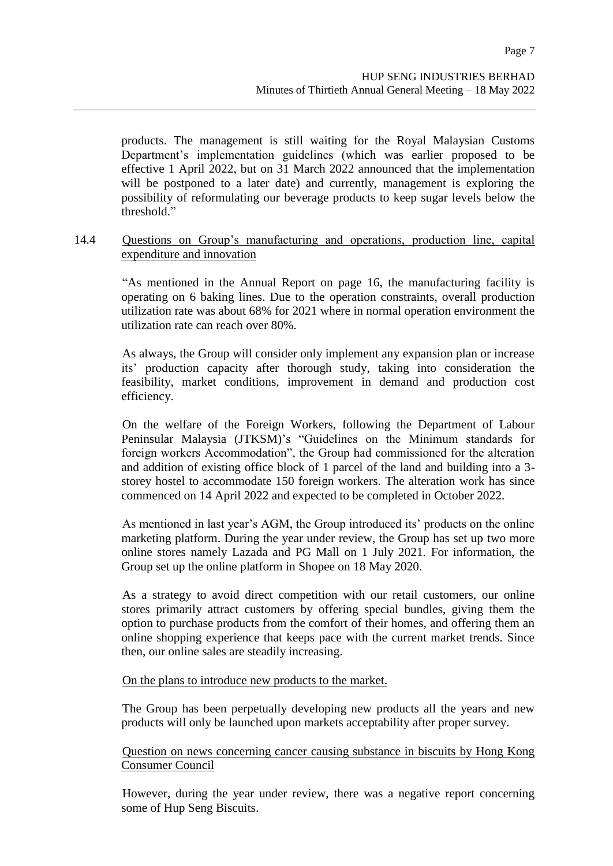Page 7

products. The management is still waiting for the Royal Malaysian Customs Department's implementation guidelines (which was earlier proposed to be effective 1 April 2022, but on 31 March 2022 announced that the implementation will be postponed to a later date) and currently, management is exploring the possibility of reformulating our beverage products to keep sugar levels below the threshold."

#### 14.4 Questions on Group's manufacturing and operations, production line, capital expenditure and innovation

"As mentioned in the Annual Report on page 16, the manufacturing facility is operating on 6 baking lines. Due to the operation constraints, overall production utilization rate was about 68% for 2021 where in normal operation environment the utilization rate can reach over 80%.

As always, the Group will consider only implement any expansion plan or increase its' production capacity after thorough study, taking into consideration the feasibility, market conditions, improvement in demand and production cost efficiency.

On the welfare of the Foreign Workers, following the Department of Labour Peninsular Malaysia (JTKSM)'s "Guidelines on the Minimum standards for foreign workers Accommodation", the Group had commissioned for the alteration and addition of existing office block of 1 parcel of the land and building into a 3 storey hostel to accommodate 150 foreign workers. The alteration work has since commenced on 14 April 2022 and expected to be completed in October 2022.

As mentioned in last year's AGM, the Group introduced its' products on the online marketing platform. During the year under review, the Group has set up two more online stores namely Lazada and PG Mall on 1 July 2021. For information, the Group set up the online platform in Shopee on 18 May 2020.

As a strategy to avoid direct competition with our retail customers, our online stores primarily attract customers by offering special bundles, giving them the option to purchase products from the comfort of their homes, and offering them an online shopping experience that keeps pace with the current market trends. Since then, our online sales are steadily increasing.

On the plans to introduce new products to the market.

The Group has been perpetually developing new products all the years and new products will only be launched upon markets acceptability after proper survey.

Question on news concerning cancer causing substance in biscuits by Hong Kong Consumer Council

However, during the year under review, there was a negative report concerning some of Hup Seng Biscuits.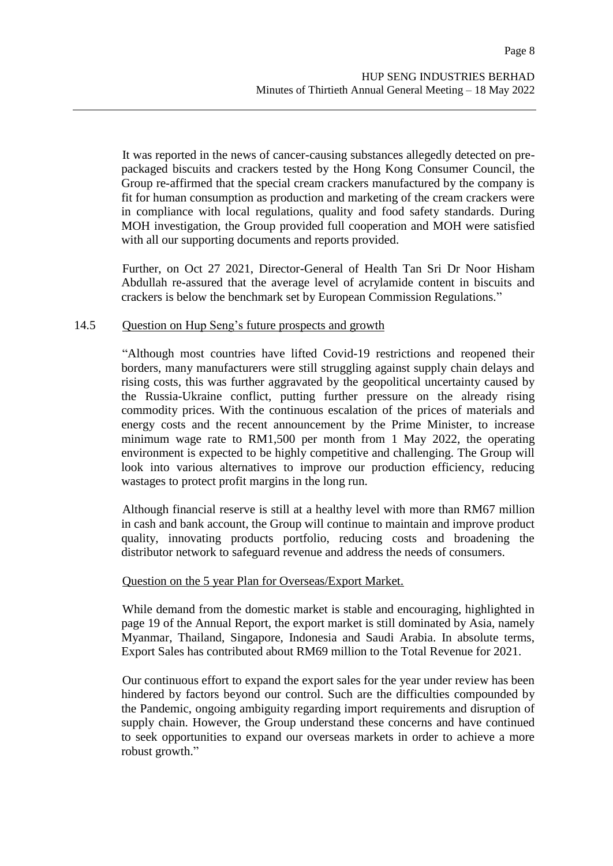It was reported in the news of cancer-causing substances allegedly detected on prepackaged biscuits and crackers tested by the Hong Kong Consumer Council, the Group re-affirmed that the special cream crackers manufactured by the company is fit for human consumption as production and marketing of the cream crackers were in compliance with local regulations, quality and food safety standards. During MOH investigation, the Group provided full cooperation and MOH were satisfied with all our supporting documents and reports provided.

Further, on Oct 27 2021, Director-General of Health Tan Sri Dr Noor Hisham Abdullah re-assured that the average level of acrylamide content in biscuits and crackers is below the benchmark set by European Commission Regulations."

### 14.5 Question on Hup Seng's future prospects and growth

"Although most countries have lifted Covid-19 restrictions and reopened their borders, many manufacturers were still struggling against supply chain delays and rising costs, this was further aggravated by the geopolitical uncertainty caused by the Russia-Ukraine conflict, putting further pressure on the already rising commodity prices. With the continuous escalation of the prices of materials and energy costs and the recent announcement by the Prime Minister, to increase minimum wage rate to RM1,500 per month from 1 May 2022, the operating environment is expected to be highly competitive and challenging. The Group will look into various alternatives to improve our production efficiency, reducing wastages to protect profit margins in the long run.

Although financial reserve is still at a healthy level with more than RM67 million in cash and bank account, the Group will continue to maintain and improve product quality, innovating products portfolio, reducing costs and broadening the distributor network to safeguard revenue and address the needs of consumers.

#### Question on the 5 year Plan for Overseas/Export Market.

While demand from the domestic market is stable and encouraging, highlighted in page 19 of the Annual Report, the export market is still dominated by Asia, namely Myanmar, Thailand, Singapore, Indonesia and Saudi Arabia. In absolute terms, Export Sales has contributed about RM69 million to the Total Revenue for 2021.

Our continuous effort to expand the export sales for the year under review has been hindered by factors beyond our control. Such are the difficulties compounded by the Pandemic, ongoing ambiguity regarding import requirements and disruption of supply chain. However, the Group understand these concerns and have continued to seek opportunities to expand our overseas markets in order to achieve a more robust growth."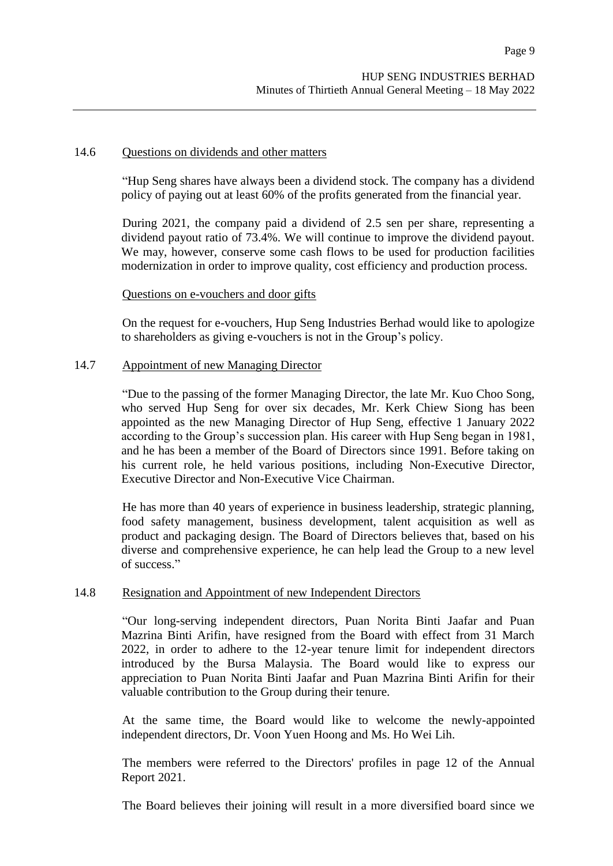#### 14.6 Questions on dividends and other matters

"Hup Seng shares have always been a dividend stock. The company has a dividend policy of paying out at least 60% of the profits generated from the financial year.

During 2021, the company paid a dividend of 2.5 sen per share, representing a dividend payout ratio of 73.4%. We will continue to improve the dividend payout. We may, however, conserve some cash flows to be used for production facilities modernization in order to improve quality, cost efficiency and production process.

#### Questions on e-vouchers and door gifts

On the request for e-vouchers, Hup Seng Industries Berhad would like to apologize to shareholders as giving e-vouchers is not in the Group's policy.

#### 14.7 Appointment of new Managing Director

"Due to the passing of the former Managing Director, the late Mr. Kuo Choo Song, who served Hup Seng for over six decades, Mr. Kerk Chiew Siong has been appointed as the new Managing Director of Hup Seng, effective 1 January 2022 according to the Group's succession plan. His career with Hup Seng began in 1981, and he has been a member of the Board of Directors since 1991. Before taking on his current role, he held various positions, including Non-Executive Director, Executive Director and Non-Executive Vice Chairman.

He has more than 40 years of experience in business leadership, strategic planning, food safety management, business development, talent acquisition as well as product and packaging design. The Board of Directors believes that, based on his diverse and comprehensive experience, he can help lead the Group to a new level of success."

#### 14.8 Resignation and Appointment of new Independent Directors

"Our long-serving independent directors, Puan Norita Binti Jaafar and Puan Mazrina Binti Arifin, have resigned from the Board with effect from 31 March 2022, in order to adhere to the 12-year tenure limit for independent directors introduced by the Bursa Malaysia. The Board would like to express our appreciation to Puan Norita Binti Jaafar and Puan Mazrina Binti Arifin for their valuable contribution to the Group during their tenure.

At the same time, the Board would like to welcome the newly-appointed independent directors, Dr. Voon Yuen Hoong and Ms. Ho Wei Lih.

The members were referred to the Directors' profiles in page 12 of the Annual Report 2021.

The Board believes their joining will result in a more diversified board since we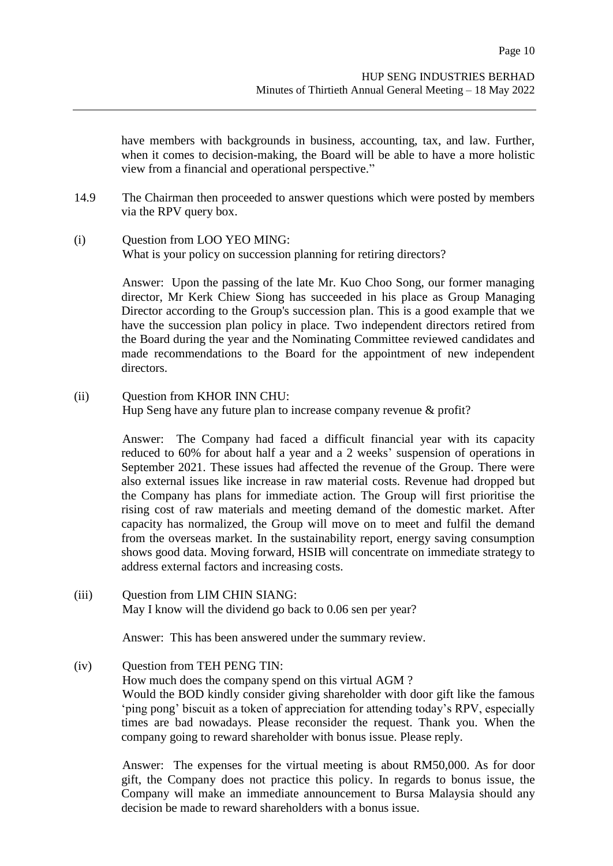have members with backgrounds in business, accounting, tax, and law. Further, when it comes to decision-making, the Board will be able to have a more holistic view from a financial and operational perspective."

- 14.9 The Chairman then proceeded to answer questions which were posted by members via the RPV query box.
- (i) Question from LOO YEO MING: What is your policy on succession planning for retiring directors?

Answer: Upon the passing of the late Mr. Kuo Choo Song, our former managing director, Mr Kerk Chiew Siong has succeeded in his place as Group Managing Director according to the Group's succession plan. This is a good example that we have the succession plan policy in place. Two independent directors retired from the Board during the year and the Nominating Committee reviewed candidates and made recommendations to the Board for the appointment of new independent directors.

(ii) Question from KHOR INN CHU: Hup Seng have any future plan to increase company revenue & profit?

> Answer: The Company had faced a difficult financial year with its capacity reduced to 60% for about half a year and a 2 weeks' suspension of operations in September 2021. These issues had affected the revenue of the Group. There were also external issues like increase in raw material costs. Revenue had dropped but the Company has plans for immediate action. The Group will first prioritise the rising cost of raw materials and meeting demand of the domestic market. After capacity has normalized, the Group will move on to meet and fulfil the demand from the overseas market. In the sustainability report, energy saving consumption shows good data. Moving forward, HSIB will concentrate on immediate strategy to address external factors and increasing costs.

(iii) Question from LIM CHIN SIANG: May I know will the dividend go back to 0.06 sen per year?

Answer: This has been answered under the summary review.

(iv) Question from TEH PENG TIN:

How much does the company spend on this virtual AGM ? Would the BOD kindly consider giving shareholder with door gift like the famous 'ping pong' biscuit as a token of appreciation for attending today's RPV, especially times are bad nowadays. Please reconsider the request. Thank you. When the company going to reward shareholder with bonus issue. Please reply.

Answer: The expenses for the virtual meeting is about RM50,000. As for door gift, the Company does not practice this policy. In regards to bonus issue, the Company will make an immediate announcement to Bursa Malaysia should any decision be made to reward shareholders with a bonus issue.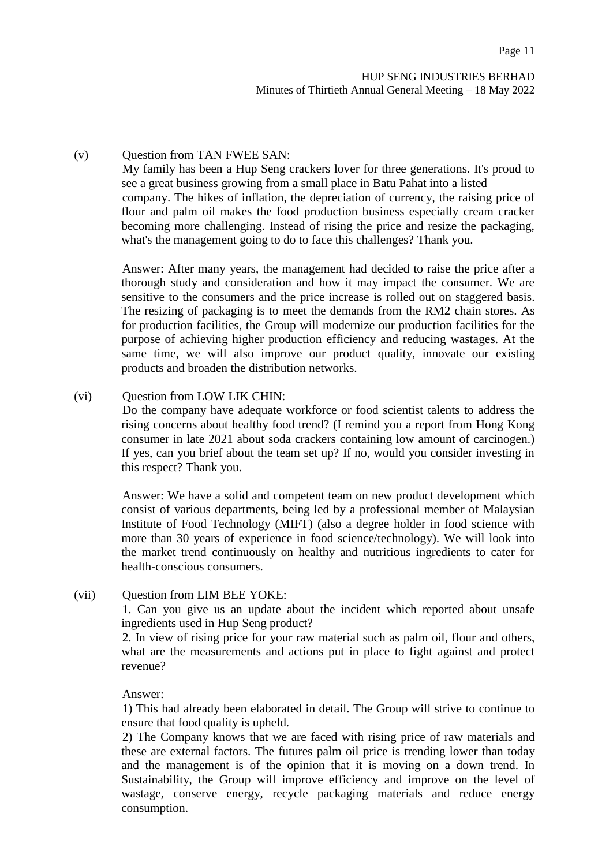## (v) Question from TAN FWEE SAN:

My family has been a Hup Seng crackers lover for three generations. It's proud to see a great business growing from a small place in Batu Pahat into a listed company. The hikes of inflation, the depreciation of currency, the raising price of flour and palm oil makes the food production business especially cream cracker becoming more challenging. Instead of rising the price and resize the packaging, what's the management going to do to face this challenges? Thank you.

Answer: After many years, the management had decided to raise the price after a thorough study and consideration and how it may impact the consumer. We are sensitive to the consumers and the price increase is rolled out on staggered basis. The resizing of packaging is to meet the demands from the RM2 chain stores. As for production facilities, the Group will modernize our production facilities for the purpose of achieving higher production efficiency and reducing wastages. At the same time, we will also improve our product quality, innovate our existing products and broaden the distribution networks.

## (vi) Question from LOW LIK CHIN:

Do the company have adequate workforce or food scientist talents to address the rising concerns about healthy food trend? (I remind you a report from Hong Kong consumer in late 2021 about soda crackers containing low amount of carcinogen.) If yes, can you brief about the team set up? If no, would you consider investing in this respect? Thank you.

Answer: We have a solid and competent team on new product development which consist of various departments, being led by a professional member of Malaysian Institute of Food Technology (MIFT) (also a degree holder in food science with more than 30 years of experience in food science/technology). We will look into the market trend continuously on healthy and nutritious ingredients to cater for health-conscious consumers.

#### (vii) Question from LIM BEE YOKE:

1. Can you give us an update about the incident which reported about unsafe ingredients used in Hup Seng product?

2. In view of rising price for your raw material such as palm oil, flour and others, what are the measurements and actions put in place to fight against and protect revenue?

#### Answer:

1) This had already been elaborated in detail. The Group will strive to continue to ensure that food quality is upheld.

2) The Company knows that we are faced with rising price of raw materials and these are external factors. The futures palm oil price is trending lower than today and the management is of the opinion that it is moving on a down trend. In Sustainability, the Group will improve efficiency and improve on the level of wastage, conserve energy, recycle packaging materials and reduce energy consumption.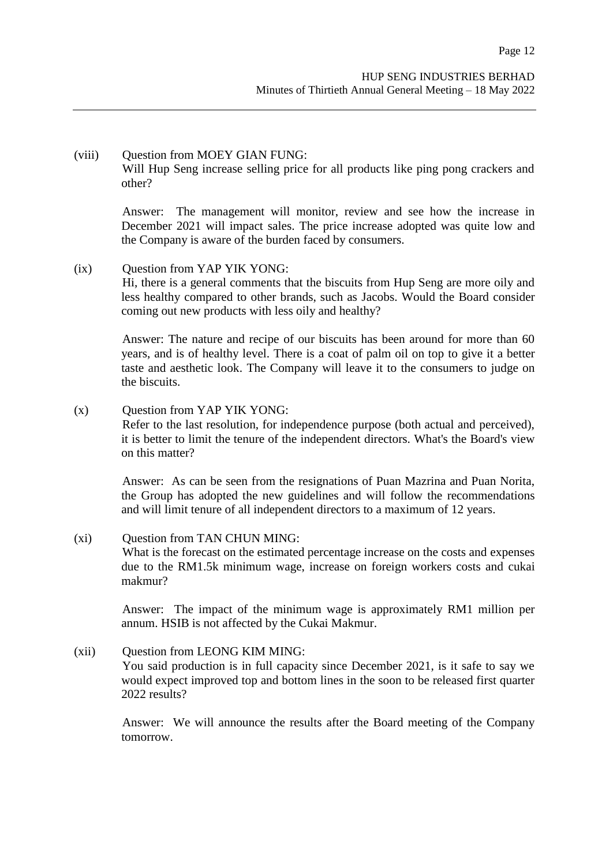## (viii) Question from MOEY GIAN FUNG:

Will Hup Seng increase selling price for all products like ping pong crackers and other?

Answer: The management will monitor, review and see how the increase in December 2021 will impact sales. The price increase adopted was quite low and the Company is aware of the burden faced by consumers.

#### (ix) Question from YAP YIK YONG:

Hi, there is a general comments that the biscuits from Hup Seng are more oily and less healthy compared to other brands, such as Jacobs. Would the Board consider coming out new products with less oily and healthy?

Answer: The nature and recipe of our biscuits has been around for more than 60 years, and is of healthy level. There is a coat of palm oil on top to give it a better taste and aesthetic look. The Company will leave it to the consumers to judge on the biscuits.

### (x) Question from YAP YIK YONG:

Refer to the last resolution, for independence purpose (both actual and perceived), it is better to limit the tenure of the independent directors. What's the Board's view on this matter?

Answer: As can be seen from the resignations of Puan Mazrina and Puan Norita, the Group has adopted the new guidelines and will follow the recommendations and will limit tenure of all independent directors to a maximum of 12 years.

#### (xi) Question from TAN CHUN MING:

What is the forecast on the estimated percentage increase on the costs and expenses due to the RM1.5k minimum wage, increase on foreign workers costs and cukai makmur?

Answer: The impact of the minimum wage is approximately RM1 million per annum. HSIB is not affected by the Cukai Makmur.

#### (xii) Ouestion from LEONG KIM MING:

You said production is in full capacity since December 2021, is it safe to say we would expect improved top and bottom lines in the soon to be released first quarter 2022 results?

Answer: We will announce the results after the Board meeting of the Company tomorrow.